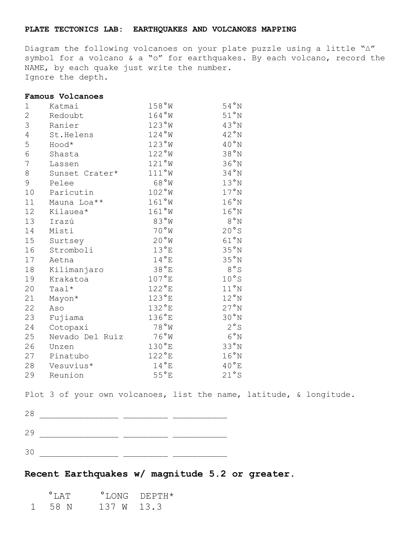## **PLATE TECTONICS LAB: EARTHQUAKES AND VOLCANOES MAPPING**

Diagram the following volcanoes on your plate puzzle using a little "∆" symbol for a volcano & a "o" for earthquakes. By each volcano, record the NAME, by each quake just write the number. Ignore the depth.

## **Famous Volcanoes**

| 1              | Katmai          | 158°W           | 54°N           |
|----------------|-----------------|-----------------|----------------|
| $\overline{2}$ | Redoubt         | $164°W$         | $51°N$         |
| 3              | Ranier          | 123°W           | 43°N           |
| $\overline{4}$ | St.Helens       | 124°W           | 42°N           |
| 5              | Hood*           | 123°W           | 40°N           |
| 6              | Shasta          | 122°W           | 38°N           |
| 7              | Lassen          | $121°W$         | 36°N           |
| 8              | Sunset Crater*  | 111°W           | 34°N           |
| 9              | Pelee           | 68°W            | 13°N           |
| 10             | Parícutin       | 102°W           | 17°N           |
| 11             | Mauna Loa**     | 161°W           | 16°N           |
| 12             | Kilauea*        | 161°W           | 16°N           |
| 13             | Irazú           | 83°W            | $8~^{\circ}$ N |
| 14             | Misti           | 70°W            | 20°s           |
| 15             | Surtsey         | 20°W            | 61°N           |
| 16             | Stromboli       | $13^{\circ}E$   | 35°N           |
| 17             | Aetna           | $14^{\circ}$ E  | 35°N           |
| 18             | Kilimanjaro     | 38°E            | 8°S            |
| 19             | Krakatoa        | $107^{\circ}$ E | 10°S           |
| 20             | Taal*           | $122^{\circ}E$  | 11°N           |
| 21             | Mayon*          | $123^{\circ}E$  | 12°N           |
| 22             | Aso             | $132^{\circ}E$  | 27°N           |
| 23             | Fujiama         | $136^{\circ}E$  | 30°N           |
| 24             | Cotopaxi        | 78°W            | 2°s            |
| 25             | Nevado Del Ruiz | 76°W            | 6°N            |
| 26             | Unzen           | $130^{\circ}$ E | 33°N           |
| 27             | Pinatubo        | $122^{\circ}E$  | 16°N           |
| 28             | Vesuvius*       | $14^{\circ}E$   | $40^{\circ}$ E |
| 29             | Reunion         | $55^{\circ}E$   | 21°s           |

Plot 3 of your own volcanoes, list the name, latitude, & longitude.

| 28 |           |             |
|----|-----------|-------------|
| 29 | _________ | ___________ |
| 3C |           |             |

## **Recent Earthquakes w/ magnitude 5.2 or greater.**

| $\mathsf{T}$ . $\mathsf{\Delta}$ $\mathsf{\Gamma} \mathsf{T}$ |            | $^{\circ}$ LONG DEPTH $^{\star}$ |
|---------------------------------------------------------------|------------|----------------------------------|
| 58 N                                                          | 137 W 13.3 |                                  |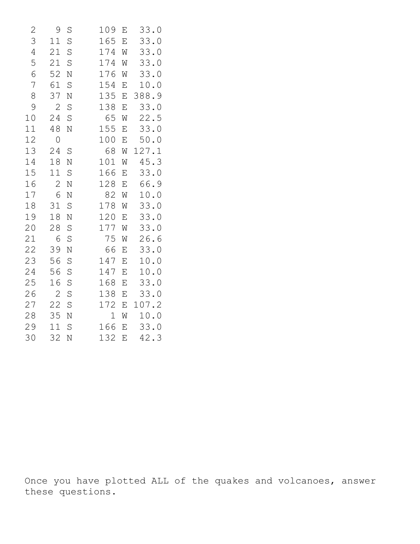| 2              | 9            | S       | 109 | Ε | 33.0  |
|----------------|--------------|---------|-----|---|-------|
| 3              | 11           | S       | 165 | E | 33.0  |
| $\overline{4}$ | 21           | S       | 174 | W | 33.0  |
| 5              | 21           | S       | 174 | W | 33.0  |
| 6              | 52           | N       | 176 | W | 33.0  |
| 7              | 61           | S       | 154 | Ε | 10.0  |
| 8              | 37           | N       | 135 | E | 388.9 |
| 9              | $\mathbf{Z}$ | S       | 138 | Ε | 33.0  |
| 10             | 24           | S       | 65  | W | 22.5  |
| 11             | 48           | N       | 155 | Ε | 33.0  |
| 12             | 0            |         | 100 | E | 50.0  |
| 13             | 24           | $\rm S$ | 68  | W | 127.1 |
| 14             | 18           | N       | 101 | Ŵ | 45.3  |
| 15             | 11           | S       | 166 | Ε | 33.0  |
| 16             | $\mathbf{2}$ | N       | 128 | Ε | 66.9  |
| 17             | 6            | N       | 82  | W | 10.0  |
| 18             | 31           | S       | 178 | W | 33.0  |
| 19             | 18           | N       | 120 | E | 33.0  |
| 20             | 28           | S       | 177 | W | 33.0  |
| 21             | 6            | S       | 75  | W | 26.6  |
| 22             | 39           | N       | 66  | Ε | 33.0  |
| 23             | 56           | S       | 147 | Е | 10.0  |
| 24             | 56           | S       | 147 | Ε | 10.0  |
| 25             | 16           | S       | 168 | E | 33.0  |
| 26             | $\mathbf{2}$ | S       | 138 | Ε | 33.0  |
| 27             | 22           | S       | 172 | Ε | 107.2 |
| 28             | 35           | N       | 1   | W | 10.0  |
| 29             | 11           | S       | 166 | Е | 33.0  |
| 30             | 32           | N       | 132 | Ε | 42.3  |

Once you have plotted ALL of the quakes and volcanoes, answer these questions.